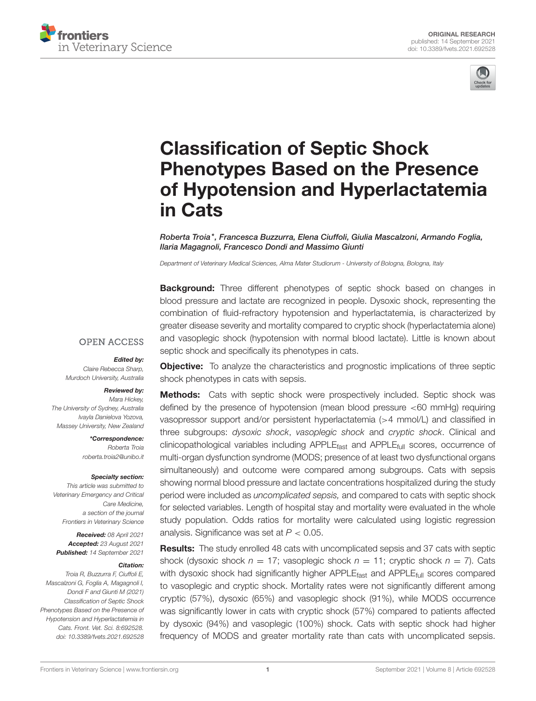



# Classification of Septic Shock Phenotypes Based on the Presence [of Hypotension and Hyperlactatemia](https://www.frontiersin.org/articles/10.3389/fvets.2021.692528/full) in Cats

Roberta Troia\*, Francesca Buzzurra, Elena Ciuffoli, Giulia Mascalzoni, Armando Foglia, Ilaria Magagnoli, Francesco Dondi and Massimo Giunti

*Department of Veterinary Medical Sciences, Alma Mater Studiorum - University of Bologna, Bologna, Italy*

**Background:** Three different phenotypes of septic shock based on changes in blood pressure and lactate are recognized in people. Dysoxic shock, representing the combination of fluid-refractory hypotension and hyperlactatemia, is characterized by greater disease severity and mortality compared to cryptic shock (hyperlactatemia alone) and vasoplegic shock (hypotension with normal blood lactate). Little is known about septic shock and specifically its phenotypes in cats.

#### **OPEN ACCESS**

#### Edited by:

*Claire Rebecca Sharp, Murdoch University, Australia*

#### Reviewed by:

*Mara Hickey, The University of Sydney, Australia Ivayla Danielova Yozova, Massey University, New Zealand*

> \*Correspondence: *Roberta Troia [roberta.troia2@unibo.it](mailto:roberta.troia2@unibo.it)*

#### Specialty section:

*This article was submitted to Veterinary Emergency and Critical Care Medicine, a section of the journal Frontiers in Veterinary Science*

Received: *08 April 2021* Accepted: *23 August 2021* Published: *14 September 2021*

#### Citation:

*Troia R, Buzzurra F, Ciuffoli E, Mascalzoni G, Foglia A, Magagnoli I, Dondi F and Giunti M (2021) Classification of Septic Shock Phenotypes Based on the Presence of Hypotension and Hyperlactatemia in Cats. Front. Vet. Sci. 8:692528. doi: [10.3389/fvets.2021.692528](https://doi.org/10.3389/fvets.2021.692528)*

**Objective:** To analyze the characteristics and prognostic implications of three septic shock phenotypes in cats with sepsis.

**Methods:** Cats with septic shock were prospectively included. Septic shock was defined by the presence of hypotension (mean blood pressure <60 mmHg) requiring vasopressor support and/or persistent hyperlactatemia (>4 mmol/L) and classified in three subgroups: *dysoxic shock*, *vasoplegic shock* and *cryptic shock*. Clinical and clinicopathological variables including APPLE<sub>fast</sub> and APPLE<sub>full</sub> scores, occurrence of multi-organ dysfunction syndrome (MODS; presence of at least two dysfunctional organs simultaneously) and outcome were compared among subgroups. Cats with sepsis showing normal blood pressure and lactate concentrations hospitalized during the study period were included as *uncomplicated sepsis,* and compared to cats with septic shock for selected variables. Length of hospital stay and mortality were evaluated in the whole study population. Odds ratios for mortality were calculated using logistic regression analysis. Significance was set at *P* < 0.05.

Results: The study enrolled 48 cats with uncomplicated sepsis and 37 cats with septic shock (dysoxic shock  $n = 17$ ; vasoplegic shock  $n = 11$ ; cryptic shock  $n = 7$ ). Cats with dysoxic shock had significantly higher APPLE<sub>fast</sub> and APPLE<sub>full</sub> scores compared to vasoplegic and cryptic shock. Mortality rates were not significantly different among cryptic (57%), dysoxic (65%) and vasoplegic shock (91%), while MODS occurrence was significantly lower in cats with cryptic shock (57%) compared to patients affected by dysoxic (94%) and vasoplegic (100%) shock. Cats with septic shock had higher frequency of MODS and greater mortality rate than cats with uncomplicated sepsis.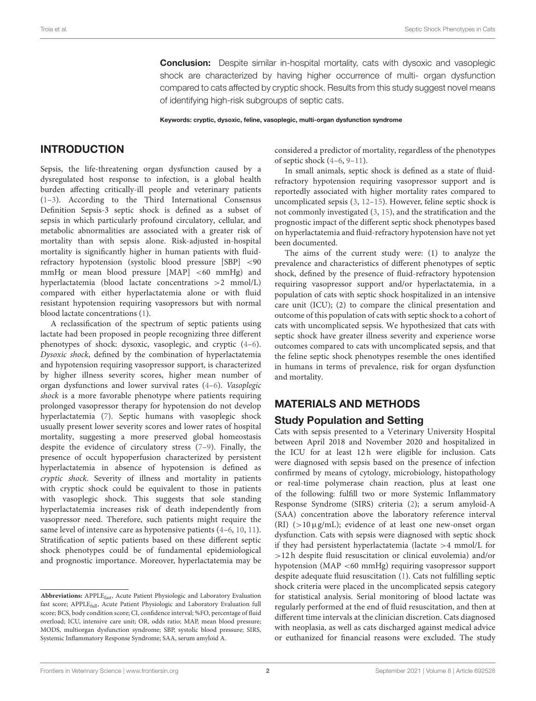**Conclusion:** Despite similar in-hospital mortality, cats with dysoxic and vasoplegic shock are characterized by having higher occurrence of multi- organ dysfunction compared to cats affected by cryptic shock. Results from this study suggest novel means of identifying high-risk subgroups of septic cats.

Keywords: cryptic, dysoxic, feline, vasoplegic, multi-organ dysfunction syndrome

# INTRODUCTION

Sepsis, the life-threatening organ dysfunction caused by a dysregulated host response to infection, is a global health burden affecting critically-ill people and veterinary patients [\(1–](#page-10-0)[3\)](#page-10-1). According to the Third International Consensus Definition Sepsis-3 septic shock is defined as a subset of sepsis in which particularly profound circulatory, cellular, and metabolic abnormalities are associated with a greater risk of mortality than with sepsis alone. Risk-adjusted in-hospital mortality is significantly higher in human patients with fluidrefractory hypotension (systolic blood pressure [SBP] <90 mmHg or mean blood pressure [MAP] <60 mmHg) and hyperlactatemia (blood lactate concentrations >2 mmol/L) compared with either hyperlactatemia alone or with fluid resistant hypotension requiring vasopressors but with normal blood lactate concentrations [\(1\)](#page-10-0).

A reclassification of the spectrum of septic patients using lactate had been proposed in people recognizing three different phenotypes of shock: dysoxic, vasoplegic, and cryptic [\(4](#page-10-2)[–6\)](#page-10-3). Dysoxic shock, defined by the combination of hyperlactatemia and hypotension requiring vasopressor support, is characterized by higher illness severity scores, higher mean number of organ dysfunctions and lower survival rates [\(4](#page-10-2)[–6\)](#page-10-3). Vasoplegic shock is a more favorable phenotype where patients requiring prolonged vasopressor therapy for hypotension do not develop hyperlactatemia [\(7\)](#page-10-4). Septic humans with vasoplegic shock usually present lower severity scores and lower rates of hospital mortality, suggesting a more preserved global homeostasis despite the evidence of circulatory stress [\(7–](#page-10-4)[9\)](#page-10-5). Finally, the presence of occult hypoperfusion characterized by persistent hyperlactatemia in absence of hypotension is defined as cryptic shock. Severity of illness and mortality in patients with cryptic shock could be equivalent to those in patients with vasoplegic shock. This suggests that sole standing hyperlactatemia increases risk of death independently from vasopressor need. Therefore, such patients might require the same level of intensive care as hypotensive patients [\(4](#page-10-2)[–6,](#page-10-3) [10,](#page-10-6) [11\)](#page-10-7). Stratification of septic patients based on these different septic shock phenotypes could be of fundamental epidemiological and prognostic importance. Moreover, hyperlactatemia may be considered a predictor of mortality, regardless of the phenotypes of septic shock [\(4–](#page-10-2)[6,](#page-10-3) [9](#page-10-5)[–11\)](#page-10-7).

In small animals, septic shock is defined as a state of fluidrefractory hypotension requiring vasopressor support and is reportedly associated with higher mortality rates compared to uncomplicated sepsis [\(3,](#page-10-1) [12–](#page-10-8)[15\)](#page-10-9). However, feline septic shock is not commonly investigated [\(3,](#page-10-1) [15\)](#page-10-9), and the stratification and the prognostic impact of the different septic shock phenotypes based on hyperlactatemia and fluid-refractory hypotension have not yet been documented.

The aims of the current study were: (1) to analyze the prevalence and characteristics of different phenotypes of septic shock, defined by the presence of fluid-refractory hypotension requiring vasopressor support and/or hyperlactatemia, in a population of cats with septic shock hospitalized in an intensive care unit (ICU); (2) to compare the clinical presentation and outcome of this population of cats with septic shock to a cohort of cats with uncomplicated sepsis. We hypothesized that cats with septic shock have greater illness severity and experience worse outcomes compared to cats with uncomplicated sepsis, and that the feline septic shock phenotypes resemble the ones identified in humans in terms of prevalence, risk for organ dysfunction and mortality.

# MATERIALS AND METHODS

# Study Population and Setting

Cats with sepsis presented to a Veterinary University Hospital between April 2018 and November 2020 and hospitalized in the ICU for at least 12 h were eligible for inclusion. Cats were diagnosed with sepsis based on the presence of infection confirmed by means of cytology, microbiology, histopathology or real-time polymerase chain reaction, plus at least one of the following: fulfill two or more Systemic Inflammatory Response Syndrome (SIRS) criteria [\(2\)](#page-10-10); a serum amyloid-A (SAA) concentration above the laboratory reference interval (RI)  $(>10 \mu g/mL)$ ; evidence of at least one new-onset organ dysfunction. Cats with sepsis were diagnosed with septic shock if they had persistent hyperlactatemia (lactate >4 mmol/L for >12 h despite fluid resuscitation or clinical euvolemia) and/or hypotension (MAP <60 mmHg) requiring vasopressor support despite adequate fluid resuscitation [\(1\)](#page-10-0). Cats not fulfilling septic shock criteria were placed in the uncomplicated sepsis category for statistical analysis. Serial monitoring of blood lactate was regularly performed at the end of fluid resuscitation, and then at different time intervals at the clinician discretion. Cats diagnosed with neoplasia, as well as cats discharged against medical advice or euthanized for financial reasons were excluded. The study

**Abbreviations:** APPLEfast, Acute Patient Physiologic and Laboratory Evaluation fast score; APPLE<sub>full</sub>, Acute Patient Physiologic and Laboratory Evaluation full score; BCS, body condition score; CI, confidence interval; %FO, percentage of fluid overload; ICU, intensive care unit; OR, odds ratio; MAP, mean blood pressure; MODS, multiorgan dysfunction syndrome; SBP, systolic blood pressure; SIRS, Systemic Inflammatory Response Syndrome; SAA, serum amyloid A.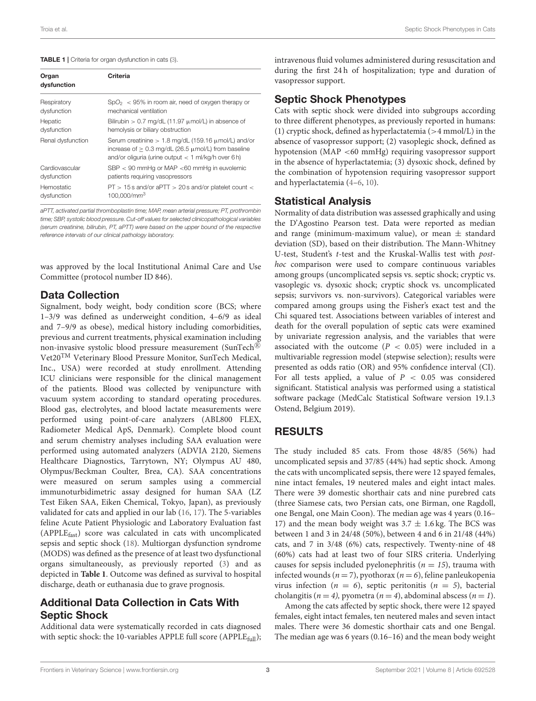#### <span id="page-2-0"></span>TABLE 1 | Criteria for organ dysfunction in cats [\(3\)](#page-10-1).

| Organ<br>dysfunction | Criteria                                                                                                                                                                          |
|----------------------|-----------------------------------------------------------------------------------------------------------------------------------------------------------------------------------|
| Respiratory          | $SpO2 < 95%$ in room air, need of oxygen therapy or                                                                                                                               |
| dysfunction          | mechanical ventilation                                                                                                                                                            |
| Hepatic              | Bilirubin $> 0.7$ mg/dL (11.97 $\mu$ mol/L) in absence of                                                                                                                         |
| dysfunction          | hemolysis or biliary obstruction                                                                                                                                                  |
| Renal dysfunction    | Serum creatinine $> 1.8$ mg/dL (159.16 $\mu$ mol/L) and/or<br>increase of $> 0.3$ mg/dL (26.5 $\mu$ mol/L) from baseline<br>and/or oliquria (urine output $<$ 1 ml/kg/h over 6 h) |
| Cardiovascular       | $SBP < 90$ mmHg or MAP <60 mmHg in euvolemic                                                                                                                                      |
| dysfunction          | patients requiring vasopressors                                                                                                                                                   |
| Hemostatic           | $PT > 15$ s and/or aPTT $> 20$ s and/or platelet count $<$                                                                                                                        |
| dysfunction          | 100.000/mm <sup>3</sup>                                                                                                                                                           |

*aPTT, activated partial thromboplastin time; MAP, mean arterial pressure; PT, prothrombin time; SBP, systolic blood pressure. Cut-off values for selected clinicopathological variables (serum creatinine, bilirubin, PT, aPTT) were based on the upper bound of the respective reference intervals of our clinical pathology laboratory.*

was approved by the local Institutional Animal Care and Use Committee (protocol number ID 846).

#### Data Collection

Signalment, body weight, body condition score (BCS; where 1–3/9 was defined as underweight condition, 4–6/9 as ideal and 7–9/9 as obese), medical history including comorbidities, previous and current treatments, physical examination including non-invasive systolic blood pressure measurement (SunTech<sup>®</sup>) Vet20TM Veterinary Blood Pressure Monitor, SunTech Medical, Inc., USA) were recorded at study enrollment. Attending ICU clinicians were responsible for the clinical management of the patients. Blood was collected by venipuncture with vacuum system according to standard operating procedures. Blood gas, electrolytes, and blood lactate measurements were performed using point-of-care analyzers (ABL800 FLEX, Radiometer Medical ApS, Denmark). Complete blood count and serum chemistry analyses including SAA evaluation were performed using automated analyzers (ADVIA 2120, Siemens Healthcare Diagnostics, Tarrytown, NY; Olympus AU 480, Olympus/Beckman Coulter, Brea, CA). SAA concentrations were measured on serum samples using a commercial immunoturbidimetric assay designed for human SAA (LZ Test Eiken SAA, Eiken Chemical, Tokyo, Japan), as previously validated for cats and applied in our lab [\(16,](#page-10-11) [17\)](#page-10-12). The 5-variables feline Acute Patient Physiologic and Laboratory Evaluation fast (APPLEfast) score was calculated in cats with uncomplicated sepsis and septic shock [\(18\)](#page-10-13). Multiorgan dysfunction syndrome (MODS) was defined as the presence of at least two dysfunctional organs simultaneously, as previously reported [\(3\)](#page-10-1) and as depicted in **[Table 1](#page-2-0)**. Outcome was defined as survival to hospital discharge, death or euthanasia due to grave prognosis.

# Additional Data Collection in Cats With Septic Shock

Additional data were systematically recorded in cats diagnosed with septic shock: the 10-variables APPLE full score (APPLE $_{\text{full}}$ ); intravenous fluid volumes administered during resuscitation and during the first 24 h of hospitalization; type and duration of vasopressor support.

### Septic Shock Phenotypes

Cats with septic shock were divided into subgroups according to three different phenotypes, as previously reported in humans: (1) cryptic shock, defined as hyperlactatemia (>4 mmol/L) in the absence of vasopressor support; (2) vasoplegic shock, defined as hypotension (MAP <60 mmHg) requiring vasopressor support in the absence of hyperlactatemia; (3) dysoxic shock, defined by the combination of hypotension requiring vasopressor support and hyperlactatemia [\(4](#page-10-2)[–6,](#page-10-3) [10\)](#page-10-6).

#### Statistical Analysis

Normality of data distribution was assessed graphically and using the D'Agostino Pearson test. Data were reported as median and range (minimum-maximum value), or mean  $\pm$  standard deviation (SD), based on their distribution. The Mann-Whitney U-test, Student's t-test and the Kruskal-Wallis test with posthoc comparison were used to compare continuous variables among groups (uncomplicated sepsis vs. septic shock; cryptic vs. vasoplegic vs. dysoxic shock; cryptic shock vs. uncomplicated sepsis; survivors vs. non-survivors). Categorical variables were compared among groups using the Fisher's exact test and the Chi squared test. Associations between variables of interest and death for the overall population of septic cats were examined by univariate regression analysis, and the variables that were associated with the outcome ( $P < 0.05$ ) were included in a multivariable regression model (stepwise selection); results were presented as odds ratio (OR) and 95% confidence interval (CI). For all tests applied, a value of  $P < 0.05$  was considered significant. Statistical analysis was performed using a statistical software package (MedCalc Statistical Software version 19.1.3 Ostend, Belgium 2019).

# RESULTS

The study included 85 cats. From those 48/85 (56%) had uncomplicated sepsis and 37/85 (44%) had septic shock. Among the cats with uncomplicated sepsis, there were 12 spayed females, nine intact females, 19 neutered males and eight intact males. There were 39 domestic shorthair cats and nine purebred cats (three Siamese cats, two Persian cats, one Birman, one Ragdoll, one Bengal, one Main Coon). The median age was 4 years (0.16– 17) and the mean body weight was  $3.7 \pm 1.6$  kg. The BCS was between 1 and 3 in 24/48 (50%), between 4 and 6 in 21/48 (44%) cats, and 7 in 3/48 (6%) cats, respectively. Twenty-nine of 48 (60%) cats had at least two of four SIRS criteria. Underlying causes for sepsis included pyelonephritis ( $n = 15$ ), trauma with infected wounds ( $n = 7$ ), pyothorax ( $n = 6$ ), feline panleukopenia virus infection ( $n = 6$ ), septic peritonitis ( $n = 5$ ), bacterial cholangitis ( $n = 4$ ), pyometra ( $n = 4$ ), abdominal abscess ( $n = 1$ ).

Among the cats affected by septic shock, there were 12 spayed females, eight intact females, ten neutered males and seven intact males. There were 36 domestic shorthair cats and one Bengal. The median age was 6 years (0.16–16) and the mean body weight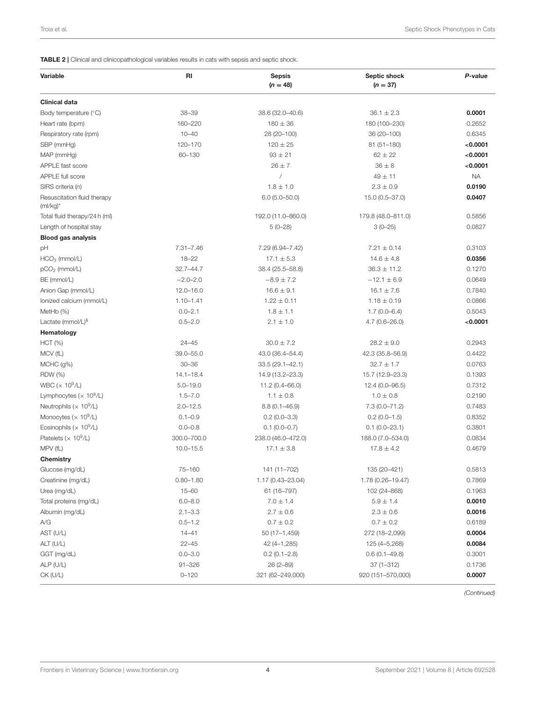<span id="page-3-0"></span>TABLE 2 | Clinical and clinicopathological variables results in cats with sepsis and septic shock.

| Variable                                   | RI            | <b>Sepsis</b><br>$(n = 48)$ | Septic shock<br>$(n = 37)$ | P-value   |
|--------------------------------------------|---------------|-----------------------------|----------------------------|-----------|
| <b>Clinical data</b>                       |               |                             |                            |           |
| Body temperature (°C)                      | $38 - 39$     | 38.6 (32.0-40.6)            | $36.1 \pm 2.3$             | 0.0001    |
| Heart rate (bpm)                           | 160-220       | $180 \pm 36$                | 180 (100-230)              | 0.2652    |
| Respiratory rate (rpm)                     | $10 - 40$     | 28 (20-100)                 | 36 (20-100)                | 0.6345    |
| SBP (mmHg)                                 | 120-170       | $120 \pm 25$                | 81 (51-180)                | < 0.0001  |
| MAP (mmHg)                                 | 60-130        | $93 \pm 21$                 | $62 \pm 22$                | < 0.0001  |
| APPLE fast score                           |               | $26 \pm 7$                  | $36 \pm 8$                 | < 0.0001  |
| APPLE full score                           |               |                             | $49 \pm 11$                | <b>NA</b> |
| SIRS criteria (n)                          |               | $1.8 \pm 1.0$               | $2.3 \pm 0.9$              | 0.0190    |
| Resuscitation fluid therapy<br>$(mI/kg)^*$ |               | $6.0(5.0 - 50.0)$           | 15.0 (0.5-37.0)            | 0.0407    |
| Total fluid therapy/24 h (ml)              |               | 192.0 (11.0-860.0)          | 179.8 (48.0-811.0)         | 0.5856    |
| Length of hospital stay                    |               | $5(0-28)$                   | $3(0-25)$                  | 0.0827    |
| <b>Blood gas analysis</b>                  |               |                             |                            |           |
| рH                                         | $7.31 - 7.46$ | 7.29 (6.94–7.42)            | $7.21 \pm 0.14$            | 0.3103    |
| $HCO3$ (mmol/L)                            | $18 - 22$     | $17.1 \pm 5.3$              | $14.6 \pm 4.8$             | 0.0356    |
| pCO <sub>2</sub> (mmol/L)                  | $32.7 - 44.7$ | 38.4 (25.5-58.8)            | $36.3 \pm 11.2$            | 0.1270    |
| BE (mmol/L)                                | $-2.0 - 2.0$  | $-8.9 \pm 7.2$              | $-12.1 \pm 6.9$            | 0.0649    |
| Anion Gap (mmol/L)                         | $12.0 - 16.0$ | $16.6 \pm 9.1$              | $16.1 \pm 7.6$             | 0.7840    |
| Ionized calcium (mmol/L)                   | $1.10 - 1.41$ | $1.22 \pm 0.11$             | $1.18 \pm 0.19$            | 0.0866    |
| MetHb (%)                                  | $0.0 - 2.1$   | $1.8 \pm 1.1$               | $1.7(0.0 - 6.4)$           | 0.5043    |
| Lactate ( $mmol/L$ ) <sup>§</sup>          | $0.5 - 2.0$   | $2.1 \pm 1.0$               | $4.7(0.6 - 26.0)$          | < 0.0001  |
| Hematology                                 |               |                             |                            |           |
| HCT (%)                                    | $24 - 45$     | $30.0 \pm 7.2$              | $28.2 \pm 9.0$             | 0.2943    |
| MCV (fL)                                   | 39.0-55.0     | 43.0 (36.4-54.4)            | 42.3 (35.8-56.9)           | 0.4422    |
| $MCHC$ (g%)                                | $30 - 36$     | $33.5(29.1 - 42.1)$         | $32.7 \pm 1.7$             | 0.0763    |
| <b>RDW</b> (%)                             | $14.1 - 18.4$ | 14.9 (13.2-23.3)            | 15.7 (12.9-23.3)           | 0.1393    |
| WBC ( $\times$ 10 <sup>9</sup> /L)         | $5.0 - 19.0$  | 11.2 (0.4-66.0)             | 12.4 (0.0-96.5)            | 0.7312    |
| Lymphocytes ( $\times$ 10 <sup>9</sup> /L) | $1.5 - 7.0$   | $1.1 \pm 0.8$               | $1.0 \pm 0.8$              | 0.2190    |
| Neutrophils ( $\times$ 10 <sup>9</sup> /L) | $2.0 - 12.5$  | $8.8(0.1 - 46.9)$           | $7.3(0.0 - 71.2)$          | 0.7483    |
| Monocytes ( $\times$ 10 <sup>9</sup> /L)   | $0.1 - 0.9$   | $0.2(0.0 - 3.3)$            | $0.2(0.0-1.5)$             | 0.8352    |
| Eosinophils ( $\times$ 10 <sup>9</sup> /L) | $0.0 - 0.8$   | $0.1(0.0 - 0.7)$            | $0.1(0.0-23.1)$            | 0.3801    |
| Platelets ( $\times$ 10 <sup>9</sup> /L)   | 300.0-700.0   | 238.0 (46.0-472.0)          | 188.0 (7.0-534.0)          | 0.0834    |
| MPV (fL)                                   | $10.0 - 15.5$ | $17.1 \pm 3.8$              | $17.8 \pm 4.2$             | 0.4679    |
| <b>Chemistry</b>                           |               |                             |                            |           |
| Glucose (mg/dL)                            | $75 - 160$    | 141 (11-702)                | 135 (20-421)               | 0.5813    |
| Creatinine (mg/dL)                         | $0.80 - 1.80$ | 1.17 (0.43-23.04)           | 1.78 (0.26-19.47)          | 0.7869    |
| Urea (mg/dL)                               | $15 - 60$     | 61 (16-797)                 | 102 (24-868)               | 0.1963    |
| Total proteins (mg/dL)                     | $6.0 - 8.0$   | $7.0 \pm 1.4$               | $5.9 \pm 1.4$              | 0.0010    |
| Albumin (mg/dL)                            | $2.1 - 3.3$   | $2.7 \pm 0.6$               | $2.3 \pm 0.6$              | 0.0016    |
| A/G                                        | $0.5 - 1.2$   | $0.7 \pm 0.2$               | $0.7 \pm 0.2$              | 0.6189    |
| AST (U/L)                                  | $14 - 41$     | 50 (17-1,459)               | 272 (18-2,099)             | 0.0004    |
| ALT (U/L)                                  | $22 - 45$     | 42 (4-1,285)                | 125 (4-5,268)              | 0.0084    |
| GGT (mg/dL)                                | $0.0 - 3.0$   | $0.2(0.1 - 2.8)$            | $0.6(0.1 - 49.8)$          | 0.3001    |
| ALP (U/L)                                  | $91 - 326$    | $26(2 - 89)$                | $37(1 - 312)$              | 0.1736    |
| CK (U/L)                                   | $0 - 120$     | 321 (62-249,000)            | 920 (151-570,000)          | 0.0007    |

*(Continued)*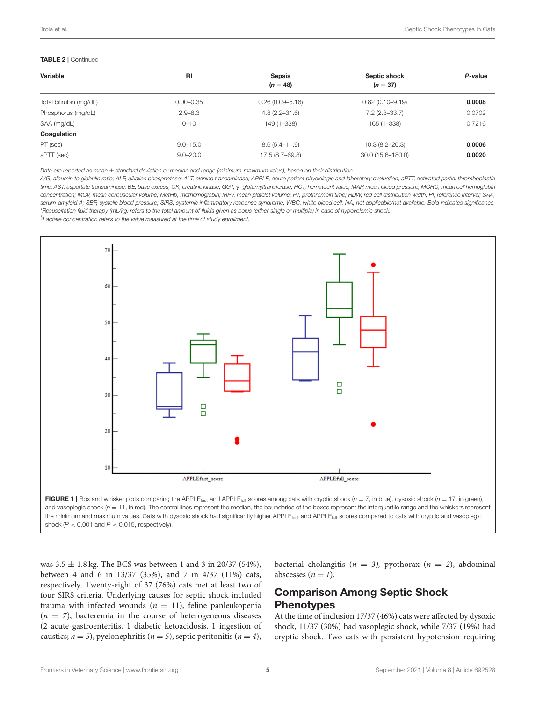#### TABLE 2 | Continued

| Variable                | <b>RI</b>     | <b>Sepsis</b><br>$(n = 48)$ | Septic shock<br>$(n = 37)$ | P-value |  |
|-------------------------|---------------|-----------------------------|----------------------------|---------|--|
| Total bilirubin (mg/dL) | $0.00 - 0.35$ | $0.26(0.09 - 5.16)$         | $0.82(0.10 - 9.19)$        | 0.0008  |  |
| Phosphorus (mg/dL)      | $2.9 - 8.3$   | $4.8(2.2 - 31.6)$           | $7.2(2.3 - 33.7)$          | 0.0702  |  |
| SAA (mg/dL)             | $0 - 10$      | 149 (1-338)                 | 165 (1-338)                | 0.7216  |  |
| Coagulation             |               |                             |                            |         |  |
| PT (sec)                | $9.0 - 15.0$  | $8.6(5.4 - 11.9)$           | $10.3(8.2 - 20.3)$         | 0.0006  |  |
| aPTT (sec)              | $9.0 - 20.0$  | 17.5 (8.7–69.8)             | $30.0(15.6 - 180.0)$       | 0.0020  |  |

*Data are reported as mean* ± *standard deviation or median and range (minimum-maximum value), based on their distribution.*

*A/G, albumin to globulin ratio; ALP, alkaline phosphatase; ALT, alanine transaminase; APPLE, acute patient physiologic and laboratory evaluation; aPTT, activated partial thromboplastin time; AST, aspartate transaminase; BE, base excess; CK, creatine kinase; GGT,* γ*- glutamyltransferase; HCT, hematocrit value; MAP, mean blood pressure; MCHC, mean cell hemoglobin concentration; MCV, mean corpuscular volume; MetHb, methemoglobin; MPV, mean platelet volume; PT, prothrombin time; RDW, red cell distribution width; RI, reference interval; SAA, serum-amyloid A; SBP, systolic blood pressure; SIRS, systemic inflammatory response syndrome; WBC, white blood cell; NA, not applicable/not available. Bold indicates significance.* \**Resuscitation fluid therapy (mL/kg) refers to the total amount of fluids given as bolus (either single or multiple) in case of hypovolemic shock.*

§*Lactate concentration refers to the value measured at the time of study enrollment.*



<span id="page-4-0"></span>FIGURE 1 | Box and whisker plots comparing the APPLE<sub>fast</sub> and APPLE<sub>full</sub> scores among cats with cryptic shock (*n* = 7, in blue), dysoxic shock (*n* = 17, in green), and vasoplegic shock  $(p = 11)$ , in red). The central lines represent the median, the boundaries of the boxes represent the interquartile range and the whiskers represent the minimum and maximum values. Cats with dysoxic shock had significantly higher APPLE<sub>fast</sub> and APPLE<sub>full</sub> scores compared to cats with cryptic and vasoplegic shock  $(P < 0.001$  and  $P < 0.015$ , respectively).

was  $3.5 \pm 1.8$  kg. The BCS was between 1 and 3 in 20/37 (54%), between 4 and 6 in 13/37 (35%), and 7 in 4/37 (11%) cats, respectively. Twenty-eight of 37 (76%) cats met at least two of four SIRS criteria. Underlying causes for septic shock included trauma with infected wounds ( $n = 11$ ), feline panleukopenia  $(n = 7)$ , bacteremia in the course of heterogeneous diseases (2 acute gastroenteritis, 1 diabetic ketoacidosis, 1 ingestion of caustics;  $n = 5$ ), pyelonephritis ( $n = 5$ ), septic peritonitis ( $n = 4$ ), bacterial cholangitis ( $n = 3$ ), pyothorax ( $n = 2$ ), abdominal abscesses  $(n = 1)$ .

# Comparison Among Septic Shock **Phenotypes**

At the time of inclusion 17/37 (46%) cats were affected by dysoxic shock, 11/37 (30%) had vasoplegic shock, while 7/37 (19%) had cryptic shock. Two cats with persistent hypotension requiring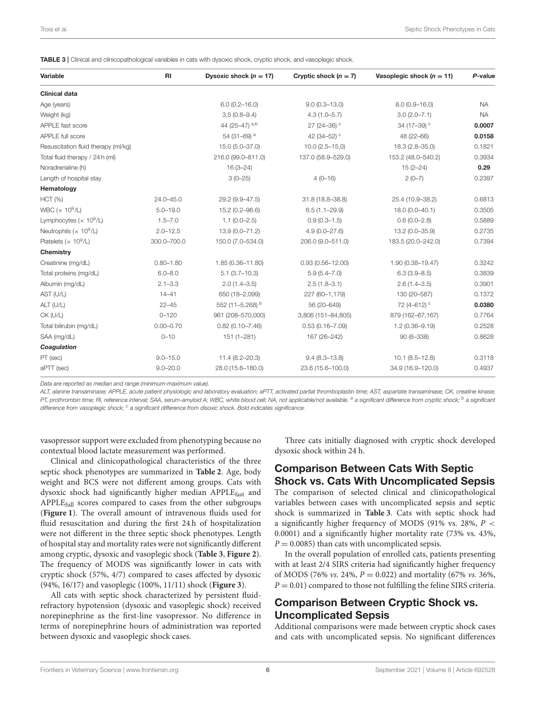<span id="page-5-0"></span>TABLE 3 | Clinical and clinicopathological variables in cats with dysoxic shock, cryptic shock, and vasoplegic shock.

| Variable                                   | RI            | Dysoxic shock $(n = 17)$ | Cryptic shock $(n = 7)$ | Vasoplegic shock $(n = 11)$ | P-value   |
|--------------------------------------------|---------------|--------------------------|-------------------------|-----------------------------|-----------|
| <b>Clinical data</b>                       |               |                          |                         |                             |           |
| Age (years)                                |               | $6.0(0.2 - 16.0)$        | $9.0(0.3 - 13.0)$       | $8.0(0.9 - 16.0)$           | <b>NA</b> |
| Weight (kg)                                |               | $3.5(0.8 - 9.4)$         | $4.3(1.0 - 5.7)$        | $3.0(2.0 - 7.1)$            | <b>NA</b> |
| APPLE fast score                           |               | 44 (25-47) a,b           | 27 (24-36) $^{\circ}$   | 34 (17-39) <sup>c</sup>     | 0.0007    |
| APPLE full score                           |               | 54 (31-69) <sup>a</sup>  | 42 (34-52) <sup>c</sup> | 48 (22-66)                  | 0.0158    |
| Resuscitation fluid therapy (ml/kg)        |               | $15.0(5.0 - 37.0)$       | $10.0 (2.5 - 15.0)$     | 18.3 (2.8-35.0)             | 0.1821    |
| Total fluid therapy / 24 h (ml)            |               | 216.0 (99.0-811.0)       | 137.0 (58.9-529.0)      | 153.2 (48.0-540.2)          | 0.3934    |
| Noradrenaline (h)                          |               | $16(3-24)$               |                         | $15(2 - 24)$                | 0.29      |
| Length of hospital stay                    |               | $3(0-25)$                | $4(0-16)$               | $2(0-7)$                    | 0.2397    |
| Hematology                                 |               |                          |                         |                             |           |
| <b>HCT</b> (%)                             | $24.0 - 45.0$ | 29.2 (9.9-47.5)          | 31.8 (18.8-38.8)        | 25.4 (10.9-38.2)            | 0.6813    |
| WBC ( $\times$ 10 <sup>9</sup> /L)         | $5.0 - 19.0$  | 15.2 (0.2-96.6)          | $6.5(1.1 - 29.9)$       | $18.0(0.0 - 40.1)$          | 0.3505    |
| Lymphocytes ( $\times$ 10 <sup>9</sup> /L) | $1.5 - 7.0$   | $1.1(0.0 - 2.5)$         | $0.9(0.3 - 1.5)$        | $0.6(0.0 - 2.8)$            | 0.5889    |
| Neutrophils ( $\times$ 10 <sup>9</sup> /L) | $2.0 - 12.5$  | $13.9(0.0 - 71.2)$       | $4.9(0.0 - 27.6)$       | 13.2 (0.0-35.9)             | 0.2735    |
| Platelets ( $\times$ 10 <sup>9</sup> /L)   | 300.0-700.0   | 150.0 (7.0-534.0)        | 206.0 (9.0-511.0)       | 183.5 (20.0-242.0)          | 0.7394    |
| Chemistry                                  |               |                          |                         |                             |           |
| Creatinine (mg/dL)                         | $0.80 - 1.80$ | 1.85 (0.36-11.80)        | $0.93(0.56 - 12.00)$    | 1.90 (0.38-19.47)           | 0.3242    |
| Total proteins (mg/dL)                     | $6.0 - 8.0$   | $5.1(3.7-10.3)$          | $5.9(5.4 - 7.0)$        | $6.3(3.9 - 8.5)$            | 0.3839    |
| Albumin (mg/dL)                            | $2.1 - 3.3$   | $2.0(1.4 - 3.5)$         | $2.5(1.8-3.1)$          | $2.6(1.4 - 3.5)$            | 0.3901    |
| AST (U/L)                                  | $14 - 41$     | 650 (18-2,099)           | 227 (60-1,179)          | 130 (20-587)                | 0.1372    |
| ALT (U/L)                                  | $22 - 45$     | 552 (11-5,268) b         | 56 (20-649)             | 72 (4-612) <sup>c</sup>     | 0.0380    |
| CK (U/L)                                   | $0 - 120$     | 961 (208-570,000)        | 3,806 (151-84,805)      | 879 (162-67,167)            | 0.7764    |
| Total bilirubin (mg/dL)                    | $0.00 - 0.70$ | $0.82(0.10 - 7.46)$      | $0.53(0.16 - 7.09)$     | $1.2(0.36 - 9.19)$          | 0.2528    |
| SAA (mg/dL)                                | $0 - 10$      | $151(1 - 281)$           | 167 (26-242)            | $90(6 - 338)$               | 0.8628    |
| Coagulation                                |               |                          |                         |                             |           |
| PT (sec)                                   | $9.0 - 15.0$  | $11.4(8.2 - 20.3)$       | $9.4(8.3 - 13.8)$       | $10.1 (8.5 - 12.8)$         | 0.3118    |
| aPTT (sec)                                 | $9.0 - 20.0$  | 28.0 (15.6-180.0)        | 23.6 (15.6-100.0)       | 34.9 (16.9-120.0)           | 0.4937    |

*Data are reported as median and range (minimum-maximum value).*

*ALT, alanine transaminase; APPLE, acute patient physiologic and laboratory evaluation; aPTT, activated partial thromboplastin time; AST, aspartate transaminase; CK, creatine kinase;* PT, prothrombin time; RI, reference interval; SAA, serum-amyloid A; WBC, white blood cell; NA, not applicable/not available. <sup>a</sup> a significant difference from cryptic shock; <sup>b</sup> a significant *difference from vasoplegic shock; <sup>c</sup> a significant difference from disoxic shock. Bold indicates significance.*

vasopressor support were excluded from phenotyping because no contextual blood lactate measurement was performed.

Clinical and clinicopathological characteristics of the three septic shock phenotypes are summarized in **[Table 2](#page-3-0)**. Age, body weight and BCS were not different among groups. Cats with dysoxic shock had significantly higher median APPLEfast and APPLE<sub>full</sub> scores compared to cases from the other subgroups (**[Figure 1](#page-4-0)**). The overall amount of intravenous fluids used for fluid resuscitation and during the first 24 h of hospitalization were not different in the three septic shock phenotypes. Length of hospital stay and mortality rates were not significantly different among cryptic, dysoxic and vasoplegic shock (**[Table 3](#page-5-0)**, **[Figure 2](#page-6-0)**). The frequency of MODS was significantly lower in cats with cryptic shock (57%, 4/7) compared to cases affected by dysoxic (94%, 16/17) and vasoplegic (100%, 11/11) shock (**[Figure 3](#page-6-1)**).

All cats with septic shock characterized by persistent fluidrefractory hypotension (dysoxic and vasoplegic shock) received norepinephrine as the first-line vasopressor. No difference in terms of norepinephrine hours of administration was reported between dysoxic and vasoplegic shock cases.

Three cats initially diagnosed with cryptic shock developed dysoxic shock within 24 h.

#### Comparison Between Cats With Septic Shock vs. Cats With Uncomplicated Sepsis

The comparison of selected clinical and clinicopathological variables between cases with uncomplicated sepsis and septic shock is summarized in **[Table 3](#page-5-0)**. Cats with septic shock had a significantly higher frequency of MODS (91% vs. 28%,  $P <$ 0.0001) and a significantly higher mortality rate (73% vs. 43%,  $P = 0.0085$ ) than cats with uncomplicated sepsis.

In the overall population of enrolled cats, patients presenting with at least 2/4 SIRS criteria had significantly higher frequency of MODS (76% *vs.* 24%,  $P = 0.022$ ) and mortality (67% *vs.* 36%,  $P = 0.01$ ) compared to those not fulfilling the feline SIRS criteria.

# Comparison Between Cryptic Shock vs. Uncomplicated Sepsis

Additional comparisons were made between cryptic shock cases and cats with uncomplicated sepsis. No significant differences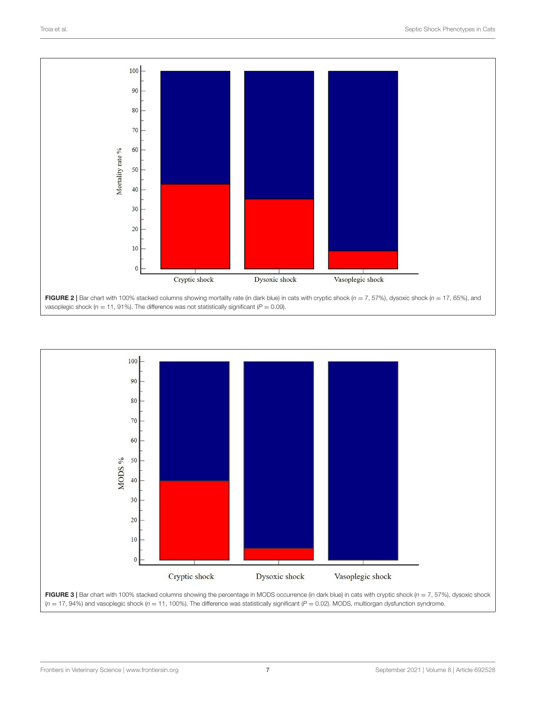

<span id="page-6-1"></span><span id="page-6-0"></span>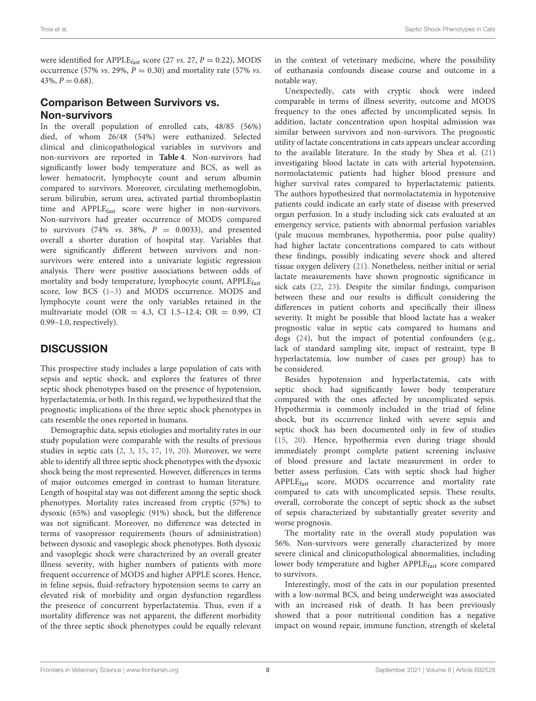were identified for APPLE<sub>fast</sub> score (27 *vs.* 27,  $P = 0.22$ ), MODS occurrence (57% *vs.* 29%,  $P = 0.30$ ) and mortality rate (57% *vs.*  $43\%, P = 0.68$ .

### Comparison Between Survivors vs. Non-survivors

In the overall population of enrolled cats, 48/85 (56%) died, of whom 26/48 (54%) were euthanized. Selected clinical and clinicopathological variables in survivors and non-survivors are reported in **[Table 4](#page-8-0)**. Non-survivors had significantly lower body temperature and BCS, as well as lower hematocrit, lymphocyte count and serum albumin compared to survivors. Moreover, circulating methemoglobin, serum bilirubin, serum urea, activated partial thromboplastin time and APPLE<sub>fast</sub> score were higher in non-survivors. Non-survivors had greater occurrence of MODS compared to survivors (74% *vs.* 38%,  $P = 0.0033$ ), and presented overall a shorter duration of hospital stay. Variables that were significantly different between survivors and nonsurvivors were entered into a univariate logistic regression analysis. There were positive associations between odds of mortality and body temperature, lymphocyte count, APPLEfast score, low BCS [\(1–](#page-10-0)[3\)](#page-10-1) and MODS occurrence. MODS and lymphocyte count were the only variables retained in the multivariate model (OR = 4.3, CI 1.5-12.4; OR = 0.99, CI 0.99–1.0, respectively).

# **DISCUSSION**

This prospective study includes a large population of cats with sepsis and septic shock, and explores the features of three septic shock phenotypes based on the presence of hypotension, hyperlactatemia, or both. In this regard, we hypothesized that the prognostic implications of the three septic shock phenotypes in cats resemble the ones reported in humans.

Demographic data, sepsis etiologies and mortality rates in our study population were comparable with the results of previous studies in septic cats [\(2,](#page-10-10) [3,](#page-10-1) [15,](#page-10-9) [17,](#page-10-12) [19,](#page-10-14) [20\)](#page-10-15). Moreover, we were able to identify all three septic shock phenotypes with the dysoxic shock being the most represented. However, differences in terms of major outcomes emerged in contrast to human literature. Length of hospital stay was not different among the septic shock phenotypes. Mortality rates increased from cryptic (57%) to dysoxic (65%) and vasoplegic (91%) shock, but the difference was not significant. Moreover, no difference was detected in terms of vasopressor requirements (hours of administration) between dysoxic and vasoplegic shock phenotypes. Both dysoxic and vasoplegic shock were characterized by an overall greater illness severity, with higher numbers of patients with more frequent occurrence of MODS and higher APPLE scores. Hence, in feline sepsis, fluid-refractory hypotension seems to carry an elevated risk of morbidity and organ dysfunction regardless the presence of concurrent hyperlactatemia. Thus, even if a mortality difference was not apparent, the different morbidity of the three septic shock phenotypes could be equally relevant in the context of veterinary medicine, where the possibility of euthanasia confounds disease course and outcome in a notable way.

Unexpectedly, cats with cryptic shock were indeed comparable in terms of illness severity, outcome and MODS frequency to the ones affected by uncomplicated sepsis. In addition, lactate concentration upon hospital admission was similar between survivors and non-survivors. The prognostic utility of lactate concentrations in cats appears unclear according to the available literature. In the study by Shea et al. [\(21\)](#page-10-16) investigating blood lactate in cats with arterial hypotension, normolactatemic patients had higher blood pressure and higher survival rates compared to hyperlactatemic patients. The authors hypothesized that normolactatemia in hypotensive patients could indicate an early state of disease with preserved organ perfusion. In a study including sick cats evaluated at an emergency service, patients with abnormal perfusion variables (pale mucous membranes, hypothermia, poor pulse quality) had higher lactate concentrations compared to cats without these findings, possibly indicating severe shock and altered tissue oxygen delivery [\(21\)](#page-10-16). Nonetheless, neither initial or serial lactate measurements have shown prognostic significance in sick cats [\(22,](#page-10-17) [23\)](#page-10-18). Despite the similar findings, comparison between these and our results is difficult considering the differences in patient cohorts and specifically their illness severity. It might be possible that blood lactate has a weaker prognostic value in septic cats compared to humans and dogs [\(24\)](#page-10-19), but the impact of potential confounders (e.g., lack of standard sampling site, impact of restraint, type B hyperlactatemia, low number of cases per group) has to be considered.

Besides hypotension and hyperlactatemia, cats with septic shock had significantly lower body temperature compared with the ones affected by uncomplicated sepsis. Hypothermia is commonly included in the triad of feline shock, but its occurrence linked with severe sepsis and septic shock has been documented only in few of studies [\(15,](#page-10-9) [20\)](#page-10-15). Hence, hypothermia even during triage should immediately prompt complete patient screening inclusive of blood pressure and lactate measurement in order to better assess perfusion. Cats with septic shock had higher APPLEfast score, MODS occurrence and mortality rate compared to cats with uncomplicated sepsis. These results, overall, corroborate the concept of septic shock as the subset of sepsis characterized by substantially greater severity and worse prognosis.

The mortality rate in the overall study population was 56%. Non-survivors were generally characterized by more severe clinical and clinicopathological abnormalities, including lower body temperature and higher APPLE<sub>fast</sub> score compared to survivors.

Interestingly, most of the cats in our population presented with a low-normal BCS, and being underweight was associated with an increased risk of death. It has been previously showed that a poor nutritional condition has a negative impact on wound repair, immune function, strength of skeletal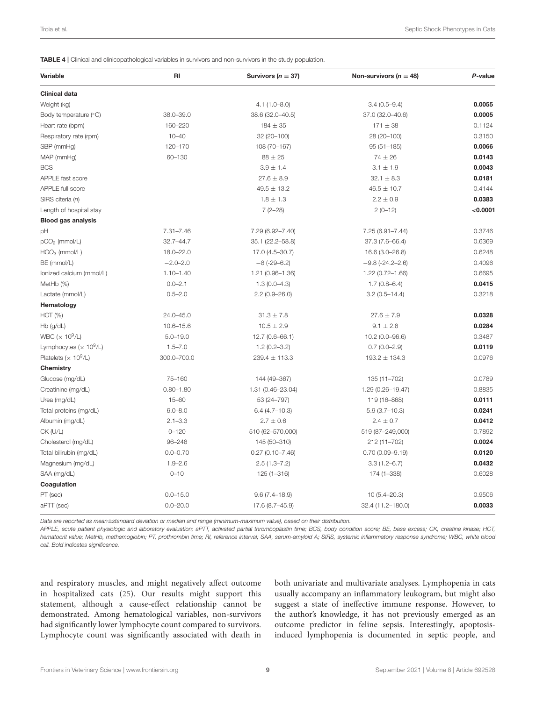<span id="page-8-0"></span>TABLE 4 | Clinical and clinicopathological variables in survivors and non-survivors in the study population.

| <b>Variable</b>                            | RI            | Survivors ( $n = 37$ ) | Non-survivors ( $n = 48$ ) | P-value  |
|--------------------------------------------|---------------|------------------------|----------------------------|----------|
| <b>Clinical data</b>                       |               |                        |                            |          |
| Weight (kg)                                |               | $4.1(1.0 - 8.0)$       | $3.4(0.5 - 9.4)$           | 0.0055   |
| Body temperature (°C)                      | 38.0-39.0     | 38.6 (32.0-40.5)       | 37.0 (32.0-40.6)           | 0.0005   |
| Heart rate (bpm)                           | 160-220       | $184 \pm 35$           | $171 \pm 38$               | 0.1124   |
| Respiratory rate (rpm)                     | $10 - 40$     | 32 (20-100)            | 28 (20-100)                | 0.3150   |
| SBP (mmHg)                                 | 120-170       | 108 (70-167)           | $95(51 - 185)$             | 0.0066   |
| MAP (mmHg)                                 | 60-130        | $88 \pm 25$            | $74 \pm 26$                | 0.0143   |
| <b>BCS</b>                                 |               | $3.9 \pm 1.4$          | $3.1 \pm 1.9$              | 0.0043   |
| APPLE fast score                           |               | $27.6 \pm 8.9$         | $32.1 \pm 8.3$             | 0.0181   |
| APPLE full score                           |               | $49.5 \pm 13.2$        | $46.5 \pm 10.7$            | 0.4144   |
| SIRS citeria (n)                           |               | $1.8 \pm 1.3$          | $2.2 \pm 0.9$              | 0.0383   |
| Length of hospital stay                    |               | $7(2-28)$              | $2(0-12)$                  | < 0.0001 |
| <b>Blood gas analysis</b>                  |               |                        |                            |          |
| pH                                         | $7.31 - 7.46$ | 7.29 (6.92-7.40)       | $7.25(6.91 - 7.44)$        | 0.3746   |
| pCO <sub>2</sub> (mmol/L)                  | $32.7 - 44.7$ | 35.1 (22.2-58.8)       | 37.3 (7.6-66.4)            | 0.6369   |
| $HCO3$ (mmol/L)                            | 18.0-22.0     | 17.0 (4.5-30.7)        | 16.6 (3.0-26.8)            | 0.6248   |
| BE (mmol/L)                                | $-2.0 - 2.0$  | $-8(-29-6.2)$          | $-9.8(-24.2 - 2.6)$        | 0.4096   |
| Ionized calcium (mmol/L)                   | $1.10 - 1.40$ | 1.21 (0.96-1.36)       | 1.22 (0.72-1.66)           | 0.6695   |
| MetHb (%)                                  | $0.0 - 2.1$   | $1.3(0.0-4.3)$         | $1.7(0.8 - 6.4)$           | 0.0415   |
| Lactate (mmol/L)                           | $0.5 - 2.0$   | $2.2(0.9 - 26.0)$      | $3.2(0.5 - 14.4)$          | 0.3218   |
| Hematology                                 |               |                        |                            |          |
| HCT (%)                                    | 24.0-45.0     | $31.3 \pm 7.8$         | $27.6 \pm 7.9$             | 0.0328   |
| Hb (g/dL)                                  | $10.6 - 15.6$ | $10.5 \pm 2.9$         | $9.1 \pm 2.8$              | 0.0284   |
| WBC ( $\times$ 10 <sup>9</sup> /L)         | $5.0 - 19.0$  | $12.7(0.6 - 66.1)$     | 10.2 (0.0-96.6)            | 0.3487   |
| Lymphocytes ( $\times$ 10 <sup>9</sup> /L) | $1.5 - 7.0$   | $1.2(0.2 - 3.2)$       | $0.7(0.0 - 2.9)$           | 0.0119   |
| Platelets ( $\times$ 10 <sup>9</sup> /L)   | 300.0-700.0   | $239.4 \pm 113.3$      | $193.2 \pm 134.3$          | 0.0976   |
| Chemistry                                  |               |                        |                            |          |
| Glucose (mg/dL)                            | 75-160        | 144 (49-367)           | 135 (11-702)               | 0.0789   |
| Creatinine (mg/dL)                         | $0.80 - 1.80$ | 1.31 (0.46-23.04)      | 1.29 (0.26-19.47)          | 0.8835   |
| Urea (mg/dL)                               | $15 - 60$     | 53 (24-797)            | 119 (16-868)               | 0.0111   |
| Total proteins (mg/dL)                     | $6.0 - 8.0$   | $6.4(4.7-10.3)$        | $5.9(3.7-10.3)$            | 0.0241   |
| Albumin (mg/dL)                            | $2.1 - 3.3$   | $2.7 \pm 0.6$          | $2.4 \pm 0.7$              | 0.0412   |
| CK (U/L)                                   | $0 - 120$     | 510 (62-570,000)       | 519 (87-249,000)           | 0.7892   |
| Cholesterol (mg/dL)                        | 96-248        | 145 (50-310)           | 212 (11-702)               | 0.0024   |
| Total bilirubin (mg/dL)                    | $0.0 - 0.70$  | $0.27(0.10 - 7.46)$    | $0.70(0.09 - 9.19)$        | 0.0120   |
| Magnesium (mg/dL)                          | $1.9 - 2.6$   | $2.5(1.3 - 7.2)$       | $3.3(1.2 - 6.7)$           | 0.0432   |
| SAA (mg/dL)                                | $0 - 10$      | $125(1 - 316)$         | 174 (1-338)                | 0.6028   |
| Coagulation                                |               |                        |                            |          |
| PT (sec)                                   | $0.0 - 15.0$  | $9.6(7.4 - 18.9)$      | $10(5.4 - 20.3)$           | 0.9506   |
| aPTT (sec)                                 | $0.0 - 20.0$  | 17.6 (8.7-45.9)        | 32.4 (11.2-180.0)          | 0.0033   |

*Data are reported as mean*±*standard deviation or median and range (minimum-maximum value), based on their distribution.*

*APPLE, acute patient physiologic and laboratory evaluation; aPTT, activated partial thromboplastin time; BCS, body condition score; BE, base excess; CK, creatine kinase; HCT, hematocrit value; MetHb, methemoglobin; PT, prothrombin time; RI, reference interval; SAA, serum-amyloid A; SIRS, systemic inflammatory response syndrome; WBC, white blood cell. Bold indicates significance.*

and respiratory muscles, and might negatively affect outcome in hospitalized cats [\(25\)](#page-10-20). Our results might support this statement, although a cause-effect relationship cannot be demonstrated. Among hematological variables, non-survivors had significantly lower lymphocyte count compared to survivors. Lymphocyte count was significantly associated with death in both univariate and multivariate analyses. Lymphopenia in cats usually accompany an inflammatory leukogram, but might also suggest a state of ineffective immune response. However, to the author's knowledge, it has not previously emerged as an outcome predictor in feline sepsis. Interestingly, apoptosisinduced lymphopenia is documented in septic people, and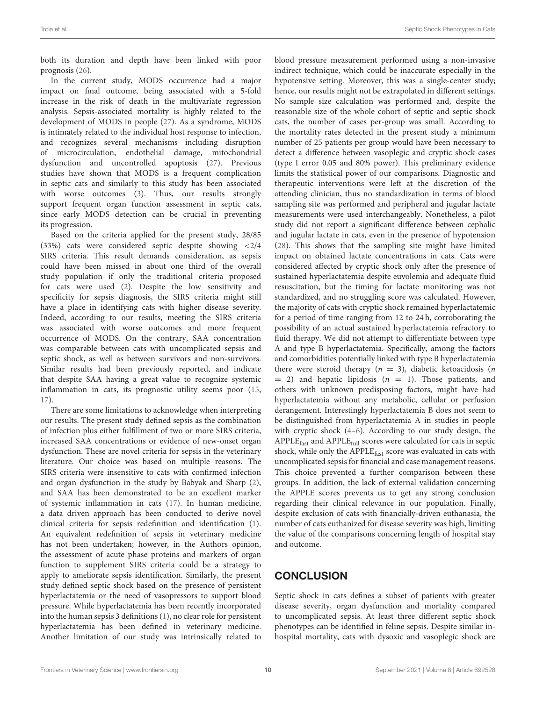both its duration and depth have been linked with poor prognosis [\(26\)](#page-11-0).

In the current study, MODS occurrence had a major impact on final outcome, being associated with a 5-fold increase in the risk of death in the multivariate regression analysis. Sepsis-associated mortality is highly related to the development of MODS in people [\(27\)](#page-11-1). As a syndrome, MODS is intimately related to the individual host response to infection, and recognizes several mechanisms including disruption of microcirculation, endothelial damage, mitochondrial dysfunction and uncontrolled apoptosis [\(27\)](#page-11-1). Previous studies have shown that MODS is a frequent complication in septic cats and similarly to this study has been associated with worse outcomes [\(3\)](#page-10-1). Thus, our results strongly support frequent organ function assessment in septic cats, since early MODS detection can be crucial in preventing its progression.

Based on the criteria applied for the present study, 28/85 (33%) cats were considered septic despite showing <2/4 SIRS criteria. This result demands consideration, as sepsis could have been missed in about one third of the overall study population if only the traditional criteria proposed for cats were used [\(2\)](#page-10-10). Despite the low sensitivity and specificity for sepsis diagnosis, the SIRS criteria might still have a place in identifying cats with higher disease severity. Indeed, according to our results, meeting the SIRS criteria was associated with worse outcomes and more frequent occurrence of MODS. On the contrary, SAA concentration was comparable between cats with uncomplicated sepsis and septic shock, as well as between survivors and non-survivors. Similar results had been previously reported, and indicate that despite SAA having a great value to recognize systemic inflammation in cats, its prognostic utility seems poor [\(15,](#page-10-9) [17\)](#page-10-12).

There are some limitations to acknowledge when interpreting our results. The present study defined sepsis as the combination of infection plus either fulfillment of two or more SIRS criteria, increased SAA concentrations or evidence of new-onset organ dysfunction. These are novel criteria for sepsis in the veterinary literature. Our choice was based on multiple reasons. The SIRS criteria were insensitive to cats with confirmed infection and organ dysfunction in the study by Babyak and Sharp [\(2\)](#page-10-10), and SAA has been demonstrated to be an excellent marker of systemic inflammation in cats [\(17\)](#page-10-12). In human medicine, a data driven approach has been conducted to derive novel clinical criteria for sepsis redefinition and identification [\(1\)](#page-10-0). An equivalent redefinition of sepsis in veterinary medicine has not been undertaken; however, in the Authors opinion, the assessment of acute phase proteins and markers of organ function to supplement SIRS criteria could be a strategy to apply to ameliorate sepsis identification. Similarly, the present study defined septic shock based on the presence of persistent hyperlactatemia or the need of vasopressors to support blood pressure. While hyperlactatemia has been recently incorporated into the human sepsis 3 definitions [\(1\)](#page-10-0), no clear role for persistent hyperlactatemia has been defined in veterinary medicine. Another limitation of our study was intrinsically related to

blood pressure measurement performed using a non-invasive indirect technique, which could be inaccurate especially in the hypotensive setting. Moreover, this was a single-center study; hence, our results might not be extrapolated in different settings. No sample size calculation was performed and, despite the reasonable size of the whole cohort of septic and septic shock cats, the number of cases per-group was small. According to the mortality rates detected in the present study a minimum number of 25 patients per group would have been necessary to detect a difference between vasoplegic and cryptic shock cases (type I error 0.05 and 80% power). This preliminary evidence limits the statistical power of our comparisons. Diagnostic and therapeutic interventions were left at the discretion of the attending clinician, thus no standardization in terms of blood sampling site was performed and peripheral and jugular lactate measurements were used interchangeably. Nonetheless, a pilot study did not report a significant difference between cephalic and jugular lactate in cats, even in the presence of hypotension [\(28\)](#page-11-2). This shows that the sampling site might have limited impact on obtained lactate concentrations in cats. Cats were considered affected by cryptic shock only after the presence of sustained hyperlactatemia despite euvolemia and adequate fluid resuscitation, but the timing for lactate monitoring was not standardized, and no struggling score was calculated. However, the majority of cats with cryptic shock remained hyperlactatemic for a period of time ranging from 12 to 24 h, corroborating the possibility of an actual sustained hyperlactatemia refractory to fluid therapy. We did not attempt to differentiate between type A and type B hyperlactatemia. Specifically, among the factors and comorbidities potentially linked with type B hyperlactatemia there were steroid therapy ( $n = 3$ ), diabetic ketoacidosis (*n*  $= 2$ ) and hepatic lipidosis ( $n = 1$ ). Those patients, and others with unknown predisposing factors, might have had hyperlactatemia without any metabolic, cellular or perfusion derangement. Interestingly hyperlactatemia B does not seem to be distinguished from hyperlactatemia A in studies in people with cryptic shock [\(4–](#page-10-2)[6\)](#page-10-3). According to our study design, the APPLEfast and APPLEfull scores were calculated for cats in septic shock, while only the APPLE<sub>fast</sub> score was evaluated in cats with uncomplicated sepsis for financial and case management reasons. This choice prevented a further comparison between these groups. In addition, the lack of external validation concerning the APPLE scores prevents us to get any strong conclusion regarding their clinical relevance in our population. Finally, despite exclusion of cats with financially-driven euthanasia, the number of cats euthanized for disease severity was high, limiting the value of the comparisons concerning length of hospital stay and outcome.

# **CONCLUSION**

Septic shock in cats defines a subset of patients with greater disease severity, organ dysfunction and mortality compared to uncomplicated sepsis. At least three different septic shock phenotypes can be identified in feline sepsis. Despite similar inhospital mortality, cats with dysoxic and vasoplegic shock are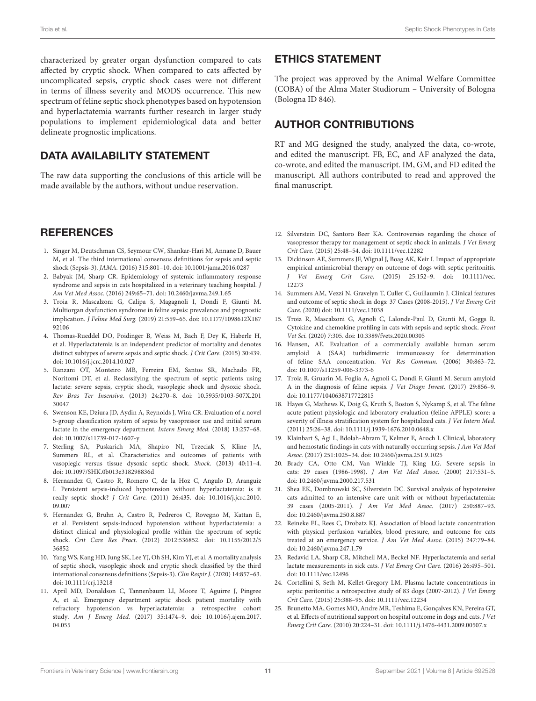characterized by greater organ dysfunction compared to cats affected by cryptic shock. When compared to cats affected by uncomplicated sepsis, cryptic shock cases were not different in terms of illness severity and MODS occurrence. This new spectrum of feline septic shock phenotypes based on hypotension and hyperlactatemia warrants further research in larger study populations to implement epidemiological data and better delineate prognostic implications.

#### DATA AVAILABILITY STATEMENT

The raw data supporting the conclusions of this article will be made available by the authors, without undue reservation.

#### **REFERENCES**

- <span id="page-10-0"></span>1. Singer M, Deutschman CS, Seymour CW, Shankar-Hari M, Annane D, Bauer M, et al. The third international consensus definitions for sepsis and septic shock (Sepsis-3). JAMA. (2016) 315:801–10. doi: [10.1001/jama.2016.0287](https://doi.org/10.1001/jama.2016.0287)
- <span id="page-10-10"></span>2. Babyak JM, Sharp CR. Epidemiology of systemic inflammatory response syndrome and sepsis in cats hospitalized in a veterinary teaching hospital. J Am Vet Med Assoc. (2016) 249:65–71. doi: [10.2460/javma.249.1.65](https://doi.org/10.2460/javma.249.1.65)
- <span id="page-10-1"></span>3. Troia R, Mascalzoni G, Calipa S, Magagnoli I, Dondi F, Giunti M. Multiorgan dysfunction syndrome in feline sepsis: prevalence and prognostic implication. J Feline Med Surg. [\(2019\) 21:559–65. doi: 10.1177/1098612X187](https://doi.org/10.1177/1098612X18792106) 92106
- <span id="page-10-2"></span>4. Thomas-Rueddel DO, Poidinger B, Weiss M, Bach F, Dey K, Haberle H, et al. Hyperlactatemia is an independent predictor of mortality and denotes distinct subtypes of severe sepsis and septic shock. J Crit Care. (2015) 30:439. doi: [10.1016/j.jcrc.2014.10.027](https://doi.org/10.1016/j.jcrc.2014.10.027)
- 5. Ranzani OT, Monteiro MB, Ferreira EM, Santos SR, Machado FR, Noritomi DT, et al. Reclassifying the spectrum of septic patients using lactate: severe sepsis, cryptic shock, vasoplegic shock and dysoxic shock. Rev Bras Ter Insensiva. [\(2013\) 24:270–8. doi: 10.5935/0103-507X.201](https://doi.org/10.5935/0103-507X.20130047) 30047
- <span id="page-10-3"></span>6. Swenson KE, Dziura JD, Aydin A, Reynolds J, Wira CR. Evaluation of a novel 5-group classification system of sepsis by vasopressor use and initial serum lactate in the emergency department. Intern Emerg Med. (2018) 13:257–68. doi: [10.1007/s11739-017-1607-y](https://doi.org/10.1007/s11739-017-1607-y)
- <span id="page-10-4"></span>7. Sterling SA, Puskarich MA, Shapiro NI, Trzeciak S, Kline JA, Summers RL, et al. Characteristics and outcomes of patients with vasoplegic versus tissue dysoxic septic shock. Shock. (2013) 40:11–4. doi: [10.1097/SHK.0b013e318298836d](https://doi.org/10.1097/SHK.0b013e318298836d)
- 8. Hernandez G, Castro R, Romero C, de la Hoz C, Angulo D, Aranguiz I. Persistent sepsis-induced hypotension without hyperlactatemia: is it really septic shock? J Crit Care. [\(2011\) 26:435. doi: 10.1016/j.jcrc.2010.](https://doi.org/10.1016/j.jcrc.2010.09.007) 09.007
- <span id="page-10-5"></span>9. Hernandez G, Bruhn A, Castro R, Pedreros C, Rovegno M, Kattan E, et al. Persistent sepsis-induced hypotension without hyperlactatemia: a distinct clinical and physiological profile within the spectrum of septic shock. Crit Care Res Pract[. \(2012\) 2012:536852. doi: 10.1155/2012/5](https://doi.org/10.1155/2012/536852) 36852
- <span id="page-10-6"></span>10. Yang WS, Kang HD, Jung SK, Lee YJ, Oh SH, Kim YJ, et al. A mortality analysis of septic shock, vasoplegic shock and cryptic shock classified by the third international consensus definitions (Sepsis-3). Clin Respir J. (2020) 14:857–63. doi: [10.1111/crj.13218](https://doi.org/10.1111/crj.13218)
- <span id="page-10-7"></span>11. April MD, Donaldson C, Tannenbaum LI, Moore T, Aguirre J, Pingree A, et al. Emergency department septic shock patient mortality with refractory hypotension vs hyperlactatemia: a retrospective cohort study. Am J Emerg Med. [\(2017\) 35:1474–9. doi: 10.1016/j.ajem.2017.](https://doi.org/10.1016/j.ajem.2017.04.055) 04.055

### ETHICS STATEMENT

The project was approved by the Animal Welfare Committee (COBA) of the Alma Mater Studiorum – University of Bologna (Bologna ID 846).

# AUTHOR CONTRIBUTIONS

RT and MG designed the study, analyzed the data, co-wrote, and edited the manuscript. FB, EC, and AF analyzed the data, co-wrote, and edited the manuscript. IM, GM, and FD edited the manuscript. All authors contributed to read and approved the final manuscript.

- <span id="page-10-8"></span>12. Silverstein DC, Santoro Beer KA. Controversies regarding the choice of vasopressor therapy for management of septic shock in animals. J Vet Emerg Crit Care. (2015) 25:48–54. doi: [10.1111/vec.12282](https://doi.org/10.1111/vec.12282)
- 13. Dickinson AE, Summers JF, Wignal J, Boag AK, Keir I. Impact of appropriate empirical antimicrobial therapy on outcome of dogs with septic peritonitis. J Vet Emerg Crit Care. [\(2015\) 25:152–9. doi: 10.1111/vec.](https://doi.org/10.1111/vec.12273) 12273
- 14. Summers AM, Vezzi N, Gravelyn T, Culler C, Guillaumin J. Clinical features and outcome of septic shock in dogs: 37 Cases (2008-2015). J Vet Emerg Crit Care. (2020) doi: [10.1111/vec.13038](https://doi.org/10.1111/vec.13038)
- <span id="page-10-9"></span>15. Troia R, Mascalzoni G, Agnoli C, Lalonde-Paul D, Giunti M, Goggs R. Cytokine and chemokine profiling in cats with sepsis and septic shock. Front Vet Sci. (2020) 7:305. doi: [10.3389/fvets.2020.00305](https://doi.org/10.3389/fvets.2020.00305)
- <span id="page-10-11"></span>16. Hansen, AE. Evaluation of a commercially available human serum amyloid A (SAA) turbidimetric immunoassay for determination of feline SAA concentration. Vet Res Commun. (2006) 30:863–72. doi: [10.1007/s11259-006-3373-6](https://doi.org/10.1007/s11259-006-3373-6)
- <span id="page-10-12"></span>17. Troia R, Gruarin M, Foglia A, Agnoli C, Dondi F, Giunti M. Serum amyloid A in the diagnosis of feline sepsis. J Vet Diagn Invest. (2017) 29:856–9. doi: [10.1177/1040638717722815](https://doi.org/10.1177/1040638717722815)
- <span id="page-10-13"></span>18. Hayes G, Mathews K, Doig G, Kruth S, Boston S, Nykamp S, et al. The feline acute patient physiologic and laboratory evaluation (feline APPLE) score: a severity of illness stratification system for hospitalized cats. J Vet Intern Med. (2011) 25:26–38. doi: [10.1111/j.1939-1676.2010.0648.x](https://doi.org/10.1111/j.1939-1676.2010.0648.x)
- <span id="page-10-14"></span>19. Klainbart S, Agi L, Bdolah-Abram T, Kelmer E, Aroch I. Clinical, laboratory and hemostatic findings in cats with naturally occurring sepsis. J Am Vet Med Assoc. (2017) 251:1025–34. doi: [10.2460/javma.251.9.1025](https://doi.org/10.2460/javma.251.9.1025)
- <span id="page-10-15"></span>20. Brady CA, Otto CM, Van Winkle TJ, King LG. Severe sepsis in cats: 29 cases (1986-1998). J Am Vet Med Assoc. (2000) 217:531–5. doi: [10.2460/javma.2000.217.531](https://doi.org/10.2460/javma.2000.217.531)
- <span id="page-10-16"></span>21. Shea EK, Dombrowski SC, Silverstein DC. Survival analysis of hypotensive cats admitted to an intensive care unit with or without hyperlactatemia: 39 cases (2005-2011). J Am Vet Med Assoc. (2017) 250:887–93. doi: [10.2460/javma.250.8.887](https://doi.org/10.2460/javma.250.8.887)
- <span id="page-10-17"></span>22. Reineke EL, Rees C, Drobatz KJ. Association of blood lactate concentration with physical perfusion variables, blood pressure, and outcome for cats treated at an emergency service. J Am Vet Med Assoc. (2015) 247:79–84. doi: [10.2460/javma.247.1.79](https://doi.org/10.2460/javma.247.1.79)
- <span id="page-10-18"></span>23. Redavid LA, Sharp CR, Mitchell MA, Beckel NF. Hyperlactatemia and serial lactate measurements in sick cats. J Vet Emerg Crit Care. (2016) 26:495–501. doi: [10.1111/vec.12496](https://doi.org/10.1111/vec.12496)
- <span id="page-10-19"></span>24. Cortellini S, Seth M, Kellet-Gregory LM. Plasma lactate concentrations in septic peritonitis: a retrospective study of 83 dogs (2007-2012). J Vet Emerg Crit Care. (2015) 25:388–95. doi: [10.1111/vec.12234](https://doi.org/10.1111/vec.12234)
- <span id="page-10-20"></span>25. Brunetto MA, Gomes MO, Andre MR, Teshima E, Gonçalves KN, Pereira GT, et al. Effects of nutritional support on hospital outcome in dogs and cats. J Vet Emerg Crit Care. (2010) 20:224–31. doi: [10.1111/j.1476-4431.2009.00507.x](https://doi.org/10.1111/j.1476-4431.2009.00507.x)